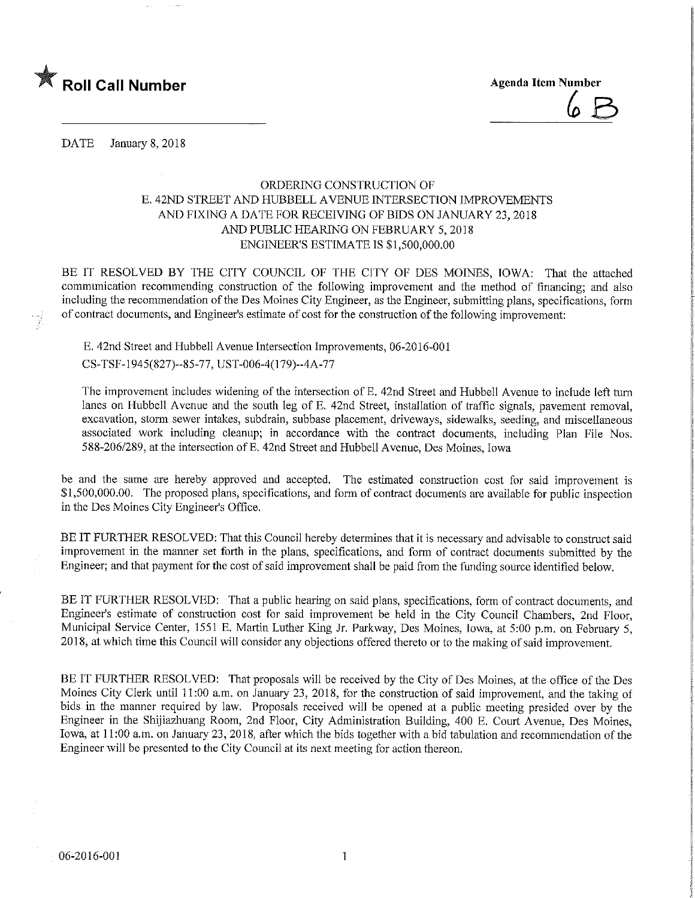

DATE January 8, 2018

## ORDERING CONSTRUCTION OF E. 42ND STREET AND HUBBELL AVENUE INTERSECTION IMPROVEMENTS AND FIXING A DATE FOR RECEIVING OF BIDS ON JANUARY 23, 2018 AND PUBLIC HEARING ON FEBRUARY 5,2018 ENGINEER'S ESTIMATE IS \$1,500,000.00

BE IT RESOLVED BY THE CITY COUNCIL OF THE CITY OF DES MOINES, IOWA: That the attached communication recommending construction of the following improvement and the method of financing; and also including the recommendation of the Des Moines City Engineer, as the Engineer, submitting plans, specifications, form of contract documents, and Engineer's estimate of cost for the construction of the following improvement:

E. 42nd Street and Hubbell Avenue Intersection Improvements, 06-2016-001 CS-TSF-1945(827)-85-77,UST-006-4(179)-4A-77

The improvement includes widening of the intersection of E. 42nd Street and Hubbell Avenue to mclude left turn lanes on Hubbell Avenue and the south leg of E. 42nd Street, installation of traffic signals, pavement removal, excavation, storm sewer intakes, subdrain, subbase placement, driveways, sidewalks, seeding, and miscellaneous associated work including cleanup; in accordance with the contract documents, including Plan File Nos. 588-206/289, at the intersection of E. 42nd Street and Hubbell Avenue, Des Moines, Iowa

be and the same are hereby approved and accepted. The estimated construction cost for said improvement is \$1,500,000.00. The proposed plans, specifications, and form of contract documents are available for public inspection in the Des Moines City Engineer's Office.

BE IT FURTHER RESOLVED: That this Council hereby determines that it is necessary and advisable to construct said improvement in the manner set forth in the plans, specifications, and form of contract documents submitted by the Engineer; and that payment for the cost of said improvement shall be paid from the funding source identified below.

BE IT FURTHER RESOLVED: That a public hearing on said plans, specifications, form of contract documents, and Engineer's estimate of construction cost for said improvement be held in the City Council Chambers, 2nd Floor, Municipal Service Center, 1551 E. Martin Luther King Jr. Parkway, Des Moines, Iowa, at 5:00 p.m. on February 5, 2018, at which time this Council will consider any objections offered thereto or to the making of said unprovement.

BE IT FURTHER RESOLVED: That proposals will be received by the City of Des Moines, at the office of the Des Moines City Clerk until 11:00 a.m. on January 23, 2018, for the construction of said improvement, and the taking of bids in the manner required by law. Proposals received will be opened at a public meeting presided over by the Engineer in the Shijlazhuang Room, 2nd Floor, City Administration Building, 400 E. Court Avenue, Des Moines, Iowa, at 11:00 a.m. on January 23, 2018, after which the bids together with a bid tabulation and recommendation of the Engineer will be presented to the City Council at its next meeting for action thereon.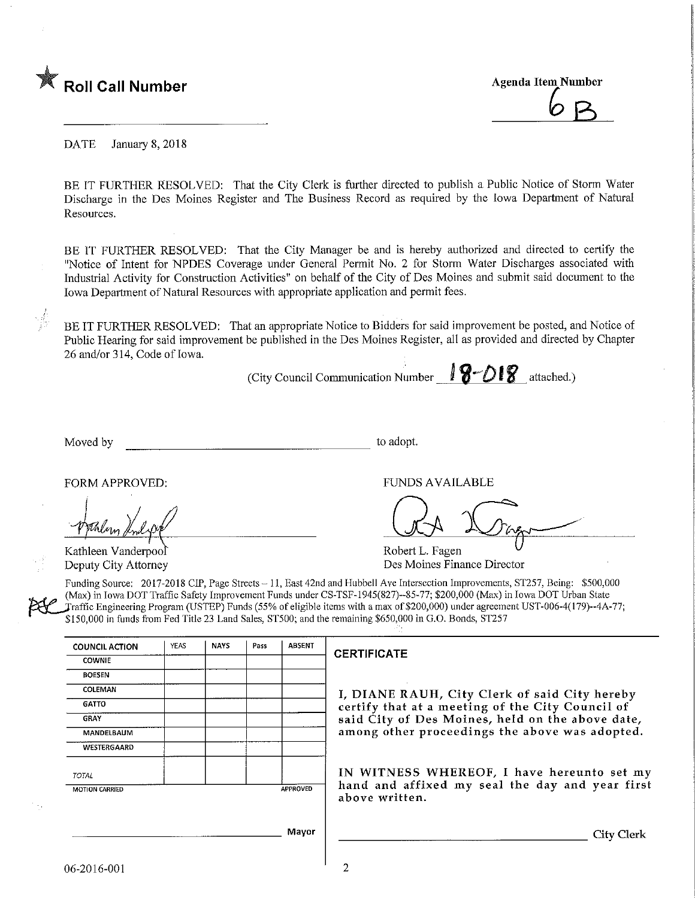

DATE January 8, 2018

BE IT FURTHER RESOLVED: That the City Clerk is further directed to publish a Public Notice of Storm Water Discharge in the Des Moines Register and The Business Record as required by the Iowa Department of Natural Resources.

BE IT FURTHER RESOLVED: That the City Manager be and is hereby authorized and directed to certify the "Notice of Intent for NPDES Coverage under General Permit No. 2 for Storm Water Discharges associated with Industrial Activity for Construction Activities" on behalf of the City of Des Moines and submit said document to the Iowa Department of Natural Resources with appropriate application and permit fees.

BE IT FURTHER RESOLVED: That an appropriate Notice to Bidders for said improvement be posted, and Notice of Public Hearing for said improvement be published in the Des Moines Register, all as provided and directed by Chapter 26 and/or 314, Code of Iowa.

(City Council Communication Number  $\mathbf{18}-\mathbf{018}$  attached.)

Moved by to adopt.

Kathleen Vanderpool Deputy City Attorney

FORM APPROVED: THE RESERVED OF THE RESERVED OF THE RESERVED OF THE RESERVED OF THE RESERVED OF THE RESERVED OF THE RESERVED OF THE RESERVED OF THE RESERVED OF THE RESERVED OF THE RESERVED OF THE RESERVED OF THE RESERVED OF

Robert L. Fagen Des Moines Finance Director

Funding Source: 2017-2018 CIP, Page Streets - 11, East 42nd and Hubbell Ave Intersection Improvements, ST257, Being: \$500,000 (Max) in Iowa DOT Traffic Safety Improvement Funds under CS-TSF-1945(827)--85-77; \$200,000 (Max) in Iowa DOT Urban State Fraffic Engineering Program (USTEP) Funds (55% of eligible items with a max of \$200,000) under agreement UST-006-4(179)--4A-77; \$150,000 in funds from Fed Title 23 Land Sales, ST500; and the remaining \$650,000 in G.O. Bonds, ST257

| <b>COUNCIL ACTION</b> | YEAS | <b>NAYS</b> | Pass | <b>ABSENT</b> |
|-----------------------|------|-------------|------|---------------|
| <b>COWNIE</b>         |      |             |      |               |
| <b>BOESEN</b>         |      |             |      |               |
| COLEMAN               |      |             |      |               |
| GATTO                 |      |             |      |               |
| GRAY                  |      |             |      |               |
| MANDELBAUM            |      |             |      |               |
| WESTERGAARD           |      |             |      |               |
| <b>TOTAL</b>          |      |             |      |               |
| <b>MOTION CARRIED</b> |      |             |      | APPROVED      |

### **CERTIFICATE**

I, DIANE RAUH, City Clerk of said City hereby certify that at a meeting of the City Council of said City of Des Moines, held on the above date, among other proceedings the above was adopted.

IN WITNESS WHEREOF, I have hereunto set my hand and affixed my seal the day and year first above written.

2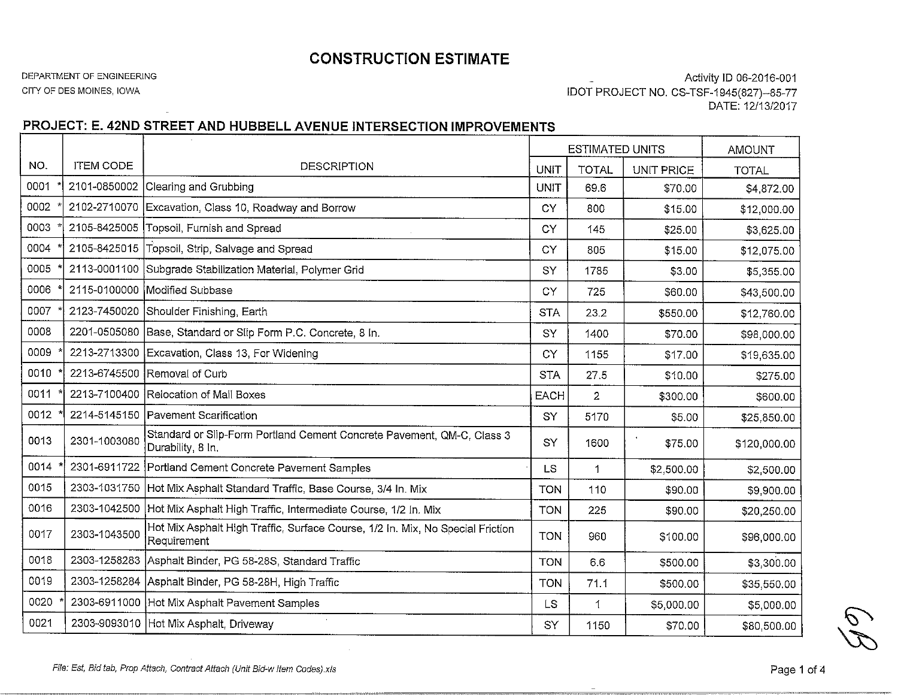## CONSTRUCTION ESTIMATE

#### DEPARTMENT OF ENGINEERING

CITY OF DES M01NES, IOWA

Activity ID 06-2016-001 iDOT PROJECT NO. CS-TSF-1945(827)~85-77DATE: 12/13/2017

# PROJECT: E. 42ND STREET AND HUBBELL AVENUE INTERSECTION IMPROVEMENTS

|      |                  |                                                                                               | <b>ESTIMATED UNITS</b> |                |            | <b>AMOUNT</b> |
|------|------------------|-----------------------------------------------------------------------------------------------|------------------------|----------------|------------|---------------|
| NO.  | <b>ITEM CODE</b> | <b>DESCRIPTION</b>                                                                            | <b>UNIT</b>            | <b>TOTAL</b>   | UNIT PRICE | <b>TOTAL</b>  |
| 0001 |                  | 2101-0850002 Clearing and Grubbing                                                            | <b>UNIT</b>            | 69.6           | \$70.00    | \$4,872.00    |
| 0002 |                  | 2102-2710070 Excavation, Class 10, Roadway and Borrow                                         | CY                     | 800            | \$15.00    | \$12,000.00   |
| 0003 |                  | 2105-8425005 Topsoil, Furnish and Spread                                                      | CY                     | 145            | \$25.00    | \$3,625.00    |
| 0004 | 2105-8425015     | Topsoil, Strip, Salvage and Spread                                                            | <b>CY</b>              | 805            | \$15.00    | \$12,075.00   |
| 0005 |                  | 2113-0001100 Subgrade Stabilization Material, Polymer Grid                                    | SY                     | 1785           | \$3.00     | \$5,355.00    |
| 0006 |                  | 2115-0100000 Modified Subbase                                                                 | <b>CY</b>              | 725            | \$60.00    | \$43,500.00   |
| 0007 |                  | 2123-7450020 Shoulder Finishing, Earth                                                        | <b>STA</b>             | 23.2           | \$550,00   | \$12,760.00   |
| 0008 |                  | 2201-0505080 Base, Standard or Slip Form P.C. Concrete, 8 In.                                 | SY                     | 1400           | \$70.00    | \$98,000.00   |
| 0009 |                  | 2213-2713300 Excavation, Class 13, For Widening                                               | <b>CY</b>              | 1155           | \$17.00    | \$19,635.00   |
| 0010 |                  | 2213-6745500 Removal of Curb                                                                  | <b>STA</b>             | 27.5           | \$10.00    | \$275.00      |
| 0011 |                  | 2213-7100400 Relocation of Mail Boxes                                                         | <b>EACH</b>            | $\overline{2}$ | \$300.00   | \$600.00      |
| 0012 |                  | 2214-5145150 Pavement Scarification                                                           | SY                     | 5170           | \$5.00     | \$25,850.00   |
| 0013 | 2301-1003080     | Standard or Slip-Form Portland Cement Concrete Pavement, QM-C, Class 3<br>Durability, 8 In.   | SY                     | 1600           | \$75.00    | \$120,000.00  |
| 0014 |                  | 2301-6911722 Portland Cement Concrete Pavement Samples                                        | <b>LS</b>              | $\mathbf{1}$   | \$2,500.00 | \$2,500.00    |
| 0015 | 2303-1031750     | Hot Mix Asphalt Standard Traffic, Base Course, 3/4 In. Mix                                    | <b>TON</b>             | 110            | \$90.00    | \$9,900.00    |
| 0016 | 2303-1042500     | Hot Mix Asphalt High Traffic, Intermediate Course, 1/2 In. Mix                                | <b>TON</b>             | 225            | \$90.00    | \$20,250.00   |
| 0017 | 2303-1043500     | Hot Mix Asphalt High Traffic, Surface Course, 1/2 In. Mix, No Special Friction<br>Requirement | <b>TON</b>             | 960            | \$100.00   | \$96,000.00   |
| 0018 |                  | 2303-1258283 Asphalt Binder, PG 58-28S, Standard Traffic                                      | <b>TON</b>             | 6.6            | \$500.00   | \$3,300.00    |
| 0019 |                  | 2303-1258284 Asphalt Binder, PG 58-28H, High Traffic                                          | <b>TON</b>             | 71.1           | \$500.00   | \$35,550.00   |
| 0020 |                  | 2303-6911000 Hot Mix Asphalt Pavement Samples                                                 | <b>LS</b>              | 1              | \$5,000.00 | \$5,000.00    |
| 0021 |                  | 2303-9093010 Hot Mix Asphalt, Driveway                                                        | SY                     | 1150           | \$70.00    | \$80,500.00   |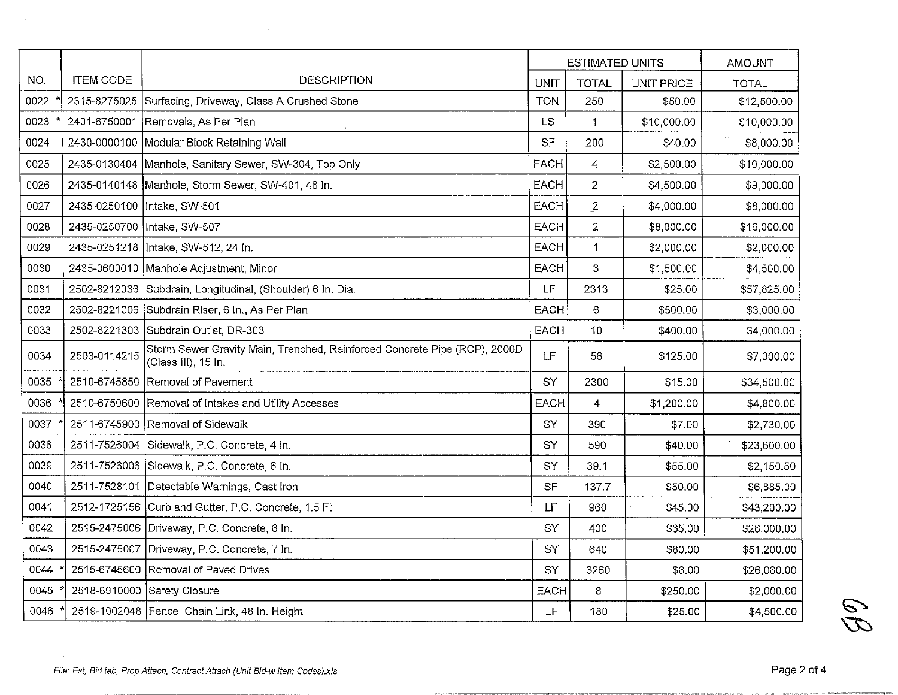|      |                  |                                                                                                  | <b>ESTIMATED UNITS</b> |                |             | <b>AMOUNT</b> |
|------|------------------|--------------------------------------------------------------------------------------------------|------------------------|----------------|-------------|---------------|
| NO.  | <b>ITEM CODE</b> | <b>DESCRIPTION</b>                                                                               | <b>UNIT</b>            | <b>TOTAL</b>   | UNIT PRICE  | <b>TOTAL</b>  |
| 0022 | 2315-8275025     | Surfacing, Driveway, Class A Crushed Stone                                                       | <b>TON</b>             | 250            | \$50.00     | \$12,500.00   |
| 0023 |                  | 2401-6750001 Removals, As Per Plan                                                               | LS                     | 1              | \$10,000.00 | \$10,000.00   |
| 0024 | 2430-0000100     | Modular Block Retaining Wall                                                                     | SF                     | 200            | \$40.00     | \$8,000.00    |
| 0025 |                  | 2435-0130404 Manhole, Sanitary Sewer, SW-304, Top Only                                           | <b>EACH</b>            | 4              | \$2,500.00  | \$10,000.00   |
| 0026 |                  | 2435-0140148 Manhole, Storm Sewer, SW-401, 48 In.                                                | <b>EACH</b>            | $\overline{2}$ | \$4,500.00  | \$9,000.00    |
| 0027 |                  | 2435-0250100   Intake, SW-501                                                                    | <b>EACH</b>            | $\overline{2}$ | \$4,000.00  | \$8,000.00    |
| 0028 | 2435-0250700     | Intake, SW-507                                                                                   | <b>EACH</b>            | $\overline{2}$ | \$8,000.00  | \$16,000.00   |
| 0029 | 2435-0251218     | Intake, SW-512, 24 In.                                                                           | <b>EACH</b>            | $\mathbf 1$    | \$2,000.00  | \$2,000.00    |
| 0030 |                  | 2435-0600010 Manhole Adjustment, Minor                                                           | <b>EACH</b>            | 3              | \$1,500.00  | \$4,500.00    |
| 0031 | 2502-8212036     | Subdrain, Longitudinal, (Shoulder) 6 In. Dia.                                                    | LF                     | 2313           | \$25.00     | \$57,825.00   |
| 0032 | 2502-8221006     | Subdrain Riser, 6 In., As Per Plan                                                               | <b>EACH</b>            | $\epsilon$     | \$500.00    | \$3,000.00    |
| 0033 |                  | 2502-8221303 Subdrain Outlet, DR-303                                                             | <b>EACH</b>            | 10             | \$400.00    | \$4,000.00    |
| 0034 | 2503-0114215     | Storm Sewer Gravity Main, Trenched, Reinforced Concrete Pipe (RCP), 2000D<br>(Class III), 15 In. | LF                     | 56             | \$125.00    | \$7,000.00    |
| 0035 | 2510-6745850     | Removal of Pavement                                                                              | SY                     | 2300           | \$15.00     | \$34,500.00   |
| 0036 | 2510-6750600     | Removal of Intakes and Utility Accesses                                                          | <b>EACH</b>            | $\overline{4}$ | \$1,200.00  | \$4,800.00    |
| 0037 | 2511-6745900     | Removal of Sidewalk                                                                              | SY                     | 390            | \$7.00      | \$2,730.00    |
| 0038 | 2511-7526004     | Sidewalk, P.C. Concrete, 4 In.                                                                   | SY                     | 590            | \$40.00     | \$23,600.00   |
| 0039 | 2511-7526006     | Sidewalk, P.C. Concrete, 6 In.                                                                   | SY                     | 39.1           | \$55.00     | \$2,150.50    |
| 0040 | 2511-7528101     | Detectable Warnings, Cast Iron                                                                   | SF                     | 137.7          | \$50.00     | \$6,885.00    |
| 0041 | 2512-1725156     | Curb and Gutter, P.C. Concrete, 1.5 Ft                                                           | <b>LF</b>              | 960            | \$45.00     | \$43,200.00   |
| 0042 | 2515-2475006     | Driveway, P.C. Concrete, 6 In.                                                                   | SY                     | 400            | \$65.00     | \$26,000.00   |
| 0043 | 2515-2475007     | Driveway, P.C. Concrete, 7 In.                                                                   | SY                     | 640            | \$80.00     | \$51,200.00   |
| 0044 | 2515-6745600     | Removal of Paved Drives                                                                          | SY                     | 3260           | \$8.00      | \$26,080.00   |
| 0045 | 2518-6910000     | Safety Closure                                                                                   | <b>EACH</b>            | 8              | \$250.00    | \$2,000.00    |
| 0046 |                  | 2519-1002048 Fence, Chain Link, 48 In. Height                                                    | LF                     | 180            | \$25.00     | \$4,500.00    |

Page 2 of 4

 $\mathscr{D}$ 

 $\sim$ 

 $\Delta$ 

 $\sim$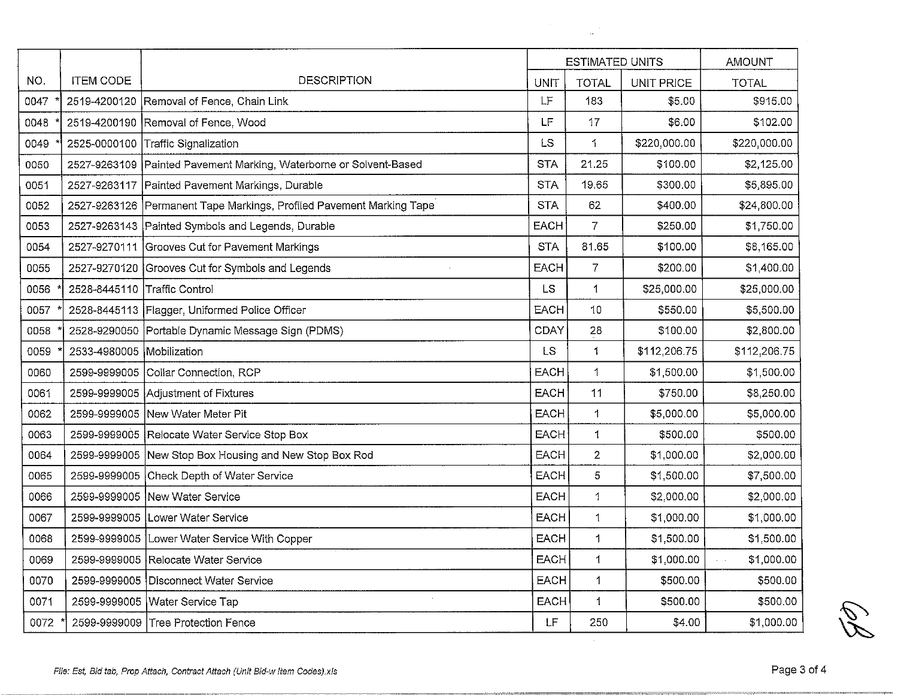|      |                              |                                                                        | <b>ESTIMATED UNITS</b> |                |                   | <b>AMOUNT</b> |
|------|------------------------------|------------------------------------------------------------------------|------------------------|----------------|-------------------|---------------|
| NO.  | <b>ITEM CODE</b>             | <b>DESCRIPTION</b>                                                     | <b>UNIT</b>            | <b>TOTAL</b>   | <b>UNIT PRICE</b> | <b>TOTAL</b>  |
| 0047 |                              | 2519-4200120 Removal of Fence, Chain Link                              | LF                     | 183            | \$5.00            | \$915.00      |
| 0048 |                              | 2519-4200190 Removal of Fence, Wood                                    | LF                     | 17             | \$6.00            | \$102.00      |
| 0049 | 2525-0000100                 | Traffic Signalization                                                  | <b>LS</b>              | 1              | \$220,000.00      | \$220,000.00  |
| 0050 |                              | 2527-9263109 Painted Pavement Marking, Waterborne or Solvent-Based     | <b>STA</b>             | 21.25          | \$100.00          | \$2,125.00    |
| 0051 | 2527-9263117                 | Painted Pavement Markings, Durable                                     | <b>STA</b>             | 19.65          | \$300.00          | \$5,895.00    |
| 0052 |                              | 2527-9263126   Permanent Tape Markings, Profiled Pavement Marking Tape | <b>STA</b>             | 62             | \$400.00          | \$24,800.00   |
| 0053 |                              | 2527-9263143 Painted Symbols and Legends, Durable                      | <b>EACH</b>            | 7              | \$250.00          | \$1,750.00    |
| 0054 |                              | 2527-9270111 Grooves Cut for Pavement Markings                         | <b>STA</b>             | 81.65          | \$100.00          | \$8,165.00    |
| 0055 |                              | 2527-9270120 Grooves Cut for Symbols and Legends                       | <b>EACH</b>            | $\overline{7}$ | \$200.00          | \$1,400.00    |
| 0056 | 2528-8445110 Traffic Control |                                                                        | <b>LS</b>              | 1              | \$25,000.00       | \$25,000.00   |
| 0057 |                              | 2528-8445113   Flagger, Uniformed Police Officer                       | <b>EACH</b>            | 10             | \$550.00          | \$5,500.00    |
| 0058 |                              | 2528-9290050 Portable Dynamic Message Sign (PDMS)                      | <b>CDAY</b>            | 28             | \$100.00          | \$2,800.00    |
| 0059 | 2533-4980005 Mobilization    |                                                                        | <b>LS</b>              | 1              | \$112,206.75      | \$112,206.75  |
| 0060 |                              | 2599-9999005 Collar Connection, RCP                                    | <b>EACH</b>            | 1              | \$1,500.00        | \$1,500.00    |
| 0061 |                              | 2599-9999005 Adjustment of Fixtures                                    | <b>EACH</b>            | 11             | \$750.00          | \$8,250.00    |
| 0062 |                              | 2599-9999005 New Water Meter Pit                                       | <b>EACH</b>            | 1              | \$5,000.00        | \$5,000.00    |
| 0063 |                              | 2599-9999005 Relocate Water Service Stop Box                           | EACH                   | 1              | \$500.00          | \$500.00      |
| 0064 |                              | 2599-9999005 New Stop Box Housing and New Stop Box Rod                 | <b>EACH</b>            | $\overline{2}$ | \$1,000.00        | \$2,000.00    |
| 0065 |                              | 2599-9999005 Check Depth of Water Service                              | <b>EACH</b>            | 5              | \$1,500.00        | \$7,500.00    |
| 0066 |                              | 2599-9999005 New Water Service                                         | <b>EACH</b>            | $\mathbf{1}$   | \$2,000.00        | \$2,000.00    |
| 0067 |                              | 2599-9999005 Lower Water Service                                       | <b>EACH</b>            | $\mathbf{1}$   | \$1,000.00        | \$1,000.00    |
| 0068 |                              | 2599-9999005 Lower Water Service With Copper                           | <b>EACH</b>            | 1              | \$1,500.00        | \$1,500.00    |
| 0069 |                              | 2599-9999005 Relocate Water Service                                    | EACH                   | 1              | \$1,000.00        | \$1,000.00    |
| 0070 |                              | 2599-9999005   Disconnect Water Service                                | <b>EACH</b>            | $\mathbf 1$    | \$500.00          | \$500.00      |
| 0071 | 2599-9999005                 | <b>Water Service Tap</b>                                               | EACH                   | $\mathbf 1$    | \$500.00          | \$500.00      |
| 0072 | 2599-9999009                 | <b>Tree Protection Fence</b>                                           | LF.                    | 250            | \$4.00            | \$1,000.00    |

 $\label{eq:2.1} \begin{split} \mathcal{L}_{\text{max}}(\mathbf{r}) & = \frac{1}{2} \sum_{i=1}^{N} \mathcal{L}_{\text{max}}(\mathbf{r}) \mathcal{L}_{\text{max}}(\mathbf{r}) \\ & = \frac{1}{2} \sum_{i=1}^{N} \mathcal{L}_{\text{max}}(\mathbf{r}) \mathcal{L}_{\text{max}}(\mathbf{r}) \mathcal{L}_{\text{max}}(\mathbf{r}) \mathcal{L}_{\text{max}}(\mathbf{r}) \mathcal{L}_{\text{max}}(\mathbf{r}) \mathcal{L}_{\text{max}}(\mathbf{r}) \mathcal{L}_{\text{max}}(\mathbf$